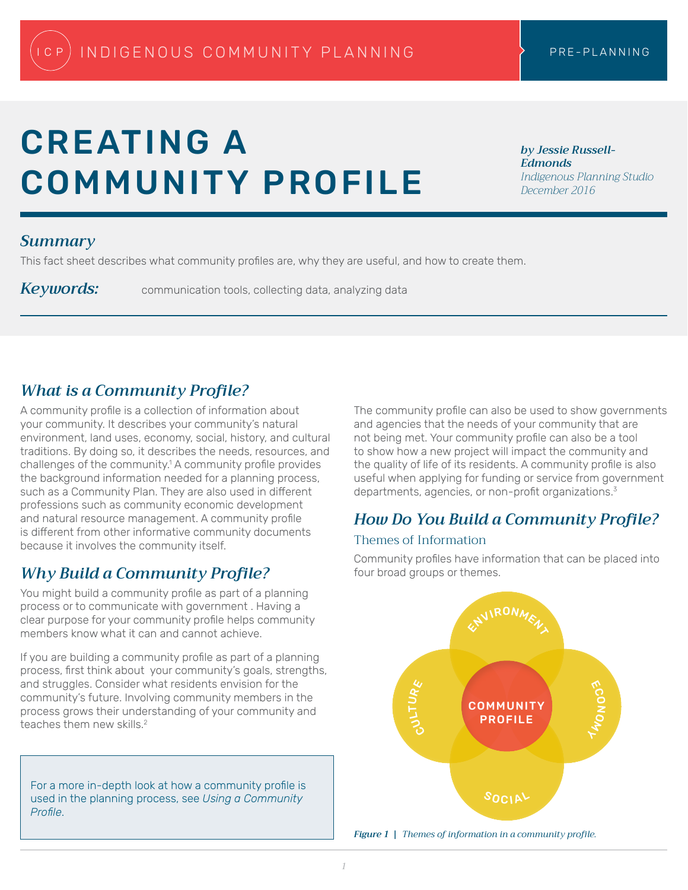# CREATING A COMMUNITY PROFILE

*by Jessie Russell-Edmonds Indigenous Planning Studio December 2016*

### *Summary*

This fact sheet describes what community profiles are, why they are useful, and how to create them.

Keywords: communication tools, collecting data, analyzing data

# *What is a Community Profile?*

A community profile is a collection of information about your community. It describes your community's natural environment, land uses, economy, social, history, and cultural traditions. By doing so, it describes the needs, resources, and challenges of the community.<sup>1</sup> A community profile provides the background information needed for a planning process, such as a Community Plan. They are also used in different professions such as community economic development and natural resource management. A community profile is different from other informative community documents because it involves the community itself.

# *Why Build a Community Profile?*

You might build a community profile as part of a planning process or to communicate with government . Having a clear purpose for your community profile helps community members know what it can and cannot achieve.

If you are building a community profile as part of a planning process, first think about your community's goals, strengths, and struggles. Consider what residents envision for the community's future. Involving community members in the process grows their understanding of your community and teaches them new skills.<sup>2</sup>

For a more in-depth look at how a community profile is used in the planning process, see *Using a Community Profile*.

The community profile can also be used to show governments and agencies that the needs of your community that are not being met. Your community profile can also be a tool to show how a new project will impact the community and the quality of life of its residents. A community profile is also useful when applying for funding or service from government departments, agencies, or non-profit organizations.<sup>3</sup>

## *How Do You Build a Community Profile?*

#### Themes of Information

Community profiles have information that can be placed into four broad groups or themes.



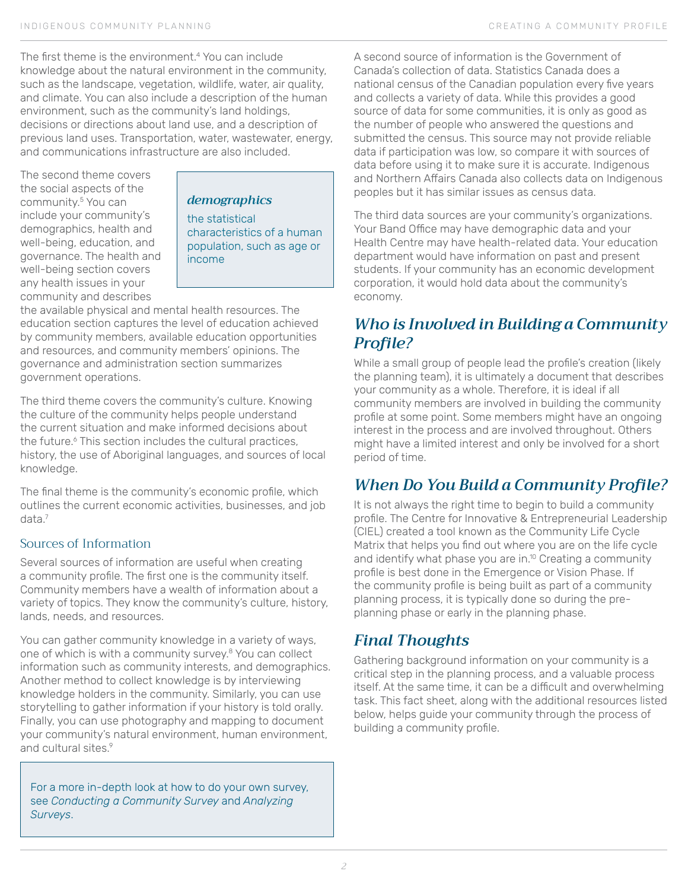The first theme is the environment.<sup>4</sup> You can include knowledge about the natural environment in the community, such as the landscape, vegetation, wildlife, water, air quality, and climate. You can also include a description of the human environment, such as the community's land holdings, decisions or directions about land use, and a description of previous land uses. Transportation, water, wastewater, energy, and communications infrastructure are also included.

The second theme covers the social aspects of the community.<sup>5</sup> You can include your community's demographics, health and well-being, education, and governance. The health and well-being section covers any health issues in your community and describes

*demographics*

the statistical characteristics of a human population, such as age or income

the available physical and mental health resources. The education section captures the level of education achieved by community members, available education opportunities and resources, and community members' opinions. The governance and administration section summarizes government operations.

The third theme covers the community's culture. Knowing the culture of the community helps people understand the current situation and make informed decisions about the future.<sup>6</sup> This section includes the cultural practices, history, the use of Aboriginal languages, and sources of local knowledge.

The final theme is the community's economic profile, which outlines the current economic activities, businesses, and job data.<sup>7</sup>

#### Sources of Information

Several sources of information are useful when creating a community profile. The first one is the community itself. Community members have a wealth of information about a variety of topics. They know the community's culture, history, lands, needs, and resources.

You can gather community knowledge in a variety of ways, one of which is with a community survey.<sup>8</sup> You can collect information such as community interests, and demographics. Another method to collect knowledge is by interviewing knowledge holders in the community. Similarly, you can use storytelling to gather information if your history is told orally. Finally, you can use photography and mapping to document your community's natural environment, human environment, and cultural sites.<sup>9</sup>

For a more in-depth look at how to do your own survey, see *Conducting a Community Survey* and *Analyzing Surveys*.

A second source of information is the Government of Canada's collection of data. Statistics Canada does a national census of the Canadian population every five years and collects a variety of data. While this provides a good source of data for some communities, it is only as good as the number of people who answered the questions and submitted the census. This source may not provide reliable data if participation was low, so compare it with sources of data before using it to make sure it is accurate. Indigenous and Northern Affairs Canada also collects data on Indigenous peoples but it has similar issues as census data.

The third data sources are your community's organizations. Your Band Office may have demographic data and your Health Centre may have health-related data. Your education department would have information on past and present students. If your community has an economic development corporation, it would hold data about the community's economy.

## *Who is Involved in Building a Community Profile?*

While a small group of people lead the profile's creation (likely the planning team), it is ultimately a document that describes your community as a whole. Therefore, it is ideal if all community members are involved in building the community profile at some point. Some members might have an ongoing interest in the process and are involved throughout. Others might have a limited interest and only be involved for a short period of time.

# *When Do You Build a Community Profile?*

It is not always the right time to begin to build a community profile. The Centre for Innovative & Entrepreneurial Leadership (CIEL) created a tool known as the Community Life Cycle Matrix that helps you find out where you are on the life cycle and identify what phase you are in.<sup>10</sup> Creating a community profile is best done in the Emergence or Vision Phase. If the community profile is being built as part of a community planning process, it is typically done so during the preplanning phase or early in the planning phase.

## *Final Thoughts*

Gathering background information on your community is a critical step in the planning process, and a valuable process itself. At the same time, it can be a difficult and overwhelming task. This fact sheet, along with the additional resources listed below, helps guide your community through the process of building a community profile.